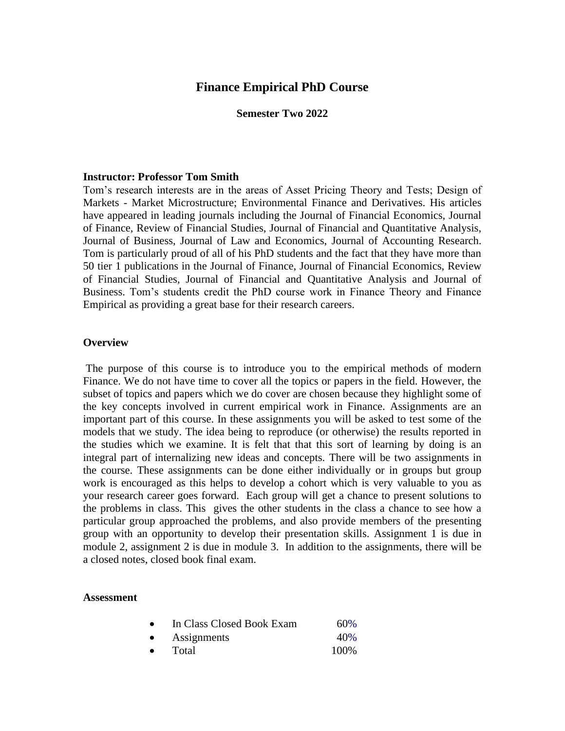## **Finance Empirical PhD Course**

#### **Semester Two 2022**

#### **Instructor: Professor Tom Smith**

Tom's research interests are in the areas of Asset Pricing Theory and Tests; Design of Markets - Market Microstructure; Environmental Finance and Derivatives. His articles have appeared in leading journals including the Journal of Financial Economics, Journal of Finance, Review of Financial Studies, Journal of Financial and Quantitative Analysis, Journal of Business, Journal of Law and Economics, Journal of Accounting Research. Tom is particularly proud of all of his PhD students and the fact that they have more than 50 tier 1 publications in the Journal of Finance, Journal of Financial Economics, Review of Financial Studies, Journal of Financial and Quantitative Analysis and Journal of Business. Tom's students credit the PhD course work in Finance Theory and Finance Empirical as providing a great base for their research careers.

#### **Overview**

The purpose of this course is to introduce you to the empirical methods of modern Finance. We do not have time to cover all the topics or papers in the field. However, the subset of topics and papers which we do cover are chosen because they highlight some of the key concepts involved in current empirical work in Finance. Assignments are an important part of this course. In these assignments you will be asked to test some of the models that we study. The idea being to reproduce (or otherwise) the results reported in the studies which we examine. It is felt that that this sort of learning by doing is an integral part of internalizing new ideas and concepts. There will be two assignments in the course. These assignments can be done either individually or in groups but group work is encouraged as this helps to develop a cohort which is very valuable to you as your research career goes forward. Each group will get a chance to present solutions to the problems in class. This gives the other students in the class a chance to see how a particular group approached the problems, and also provide members of the presenting group with an opportunity to develop their presentation skills. Assignment 1 is due in module 2, assignment 2 is due in module 3. In addition to the assignments, there will be a closed notes, closed book final exam.

#### **Assessment**

| In Class Closed Book Exam | 60% |
|---------------------------|-----|
|---------------------------|-----|

- Assignments 40%
- Total 100%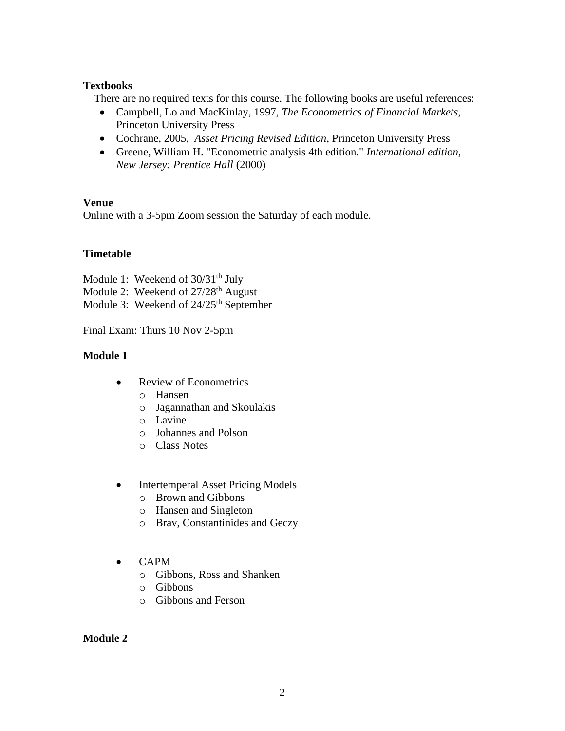## **Textbooks**

There are no required texts for this course. The following books are useful references:

- Campbell, Lo and MacKinlay, 1997, *The Econometrics of Financial Markets*, Princeton University Press
- Cochrane, 2005, *Asset Pricing Revised Edition*, Princeton University Press
- Greene, William H. "Econometric analysis 4th edition." *International edition, New Jersey: Prentice Hall* (2000)

## **Venue**

Online with a 3-5pm Zoom session the Saturday of each module.

# **Timetable**

Module 1: Weekend of  $30/31<sup>th</sup>$  July Module 2: Weekend of 27/28<sup>th</sup> August Module 3: Weekend of 24/25<sup>th</sup> September

Final Exam: Thurs 10 Nov 2-5pm

# **Module 1**

- Review of Econometrics
	- o Hansen
	- o Jagannathan and Skoulakis
	- o Lavine
	- o Johannes and Polson
	- o Class Notes
- Intertemperal Asset Pricing Models
	- o Brown and Gibbons
	- o Hansen and Singleton
	- o Brav, Constantinides and Geczy
- CAPM
	- o Gibbons, Ross and Shanken
	- o Gibbons
	- o Gibbons and Ferson

### **Module 2**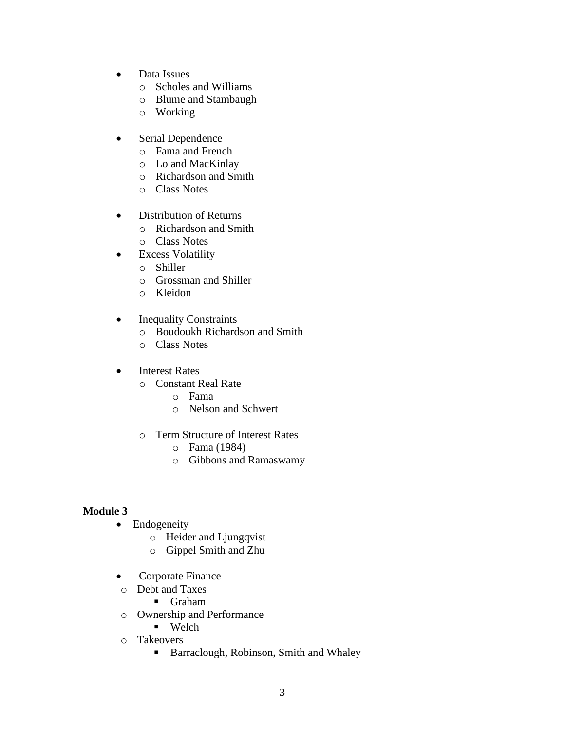- Data Issues
	- o Scholes and Williams
	- o Blume and Stambaugh
	- o Working
- Serial Dependence
	- o Fama and French
	- o Lo and MacKinlay
	- o Richardson and Smith
	- o Class Notes
- Distribution of Returns
	- o Richardson and Smith
	- o Class Notes
- Excess Volatility
	- o Shiller
	- o Grossman and Shiller
	- o Kleidon
- Inequality Constraints
	- o Boudoukh Richardson and Smith
	- o Class Notes
- Interest Rates
	- o Constant Real Rate
		- o Fama
		- o Nelson and Schwert
	- o Term Structure of Interest Rates
		- o Fama (1984)
		- o Gibbons and Ramaswamy

# **Module 3**

- Endogeneity
	- o Heider and Ljungqvist
	- o Gippel Smith and Zhu
- Corporate Finance
- o Debt and Taxes
	- Graham
- o Ownership and Performance
	- Welch
- o Takeovers
	- Barraclough, Robinson, Smith and Whaley